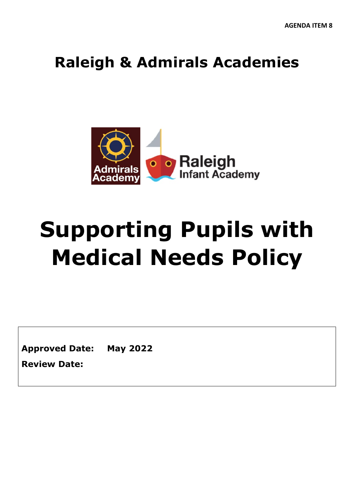# **Raleigh & Admirals Academies**



# **Supporting Pupils with Medical Needs Policy**

**Approved Date: May 2022**

**Review Date:**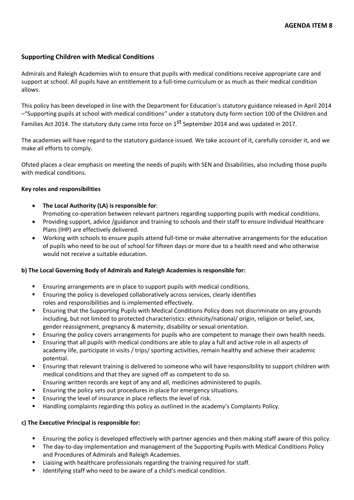# **Supporting Children with Medical Conditions**

Admirals and Raleigh Academies wish to ensure that pupils with medical conditions receive appropriate care and support at school. All pupils have an entitlement to a full-time curriculum or as much as their medical condition allows.

This policy has been developed in line with the Department for Education's statutory guidance released in April 2014 –"Supporting pupils at school with medical conditions" under a statutory duty form section 100 of the Children and

Families Act 2014. The statutory duty came into force on 1<sup>st</sup> September 2014 and was updated in 2017.

The academies will have regard to the statutory guidance issued. We take account of it, carefully consider it, and we make all efforts to comply.

Ofsted places a clear emphasis on meeting the needs of pupils with SEN and Disabilities, also including those pupils with medical conditions.

#### **Key roles and responsibilities**

- **The Local Authority (LA) is responsible for**: Promoting co-operation between relevant partners regarding supporting pupils with medical conditions.
- Providing support, advice /guidance and training to schools and their staff to ensure Individual Healthcare Plans (IHP) are effectively delivered.
- Working with schools to ensure pupils attend full-time or make alternative arrangements for the education of pupils who need to be out of school for fifteen days or more due to a health need and who otherwise would not receive a suitable education.

# **b) The Local Governing Body of Admirals and Raleigh Academies is responsible for:**

- Ensuring arrangements are in place to support pupils with medical conditions.
- Ensuring the policy is developed collaboratively across services, clearly identifies roles and responsibilities and is implemented effectively.
- Ensuring that the Supporting Pupils with Medical Conditions Policy does not discriminate on any grounds including, but not limited to protected characteristics: ethnicity/national/ origin, religion or belief, sex, gender reassignment, pregnancy & maternity, disability or sexual orientation.
- Ensuring the policy covers arrangements for pupils who are competent to manage their own health needs.
- Ensuring that all pupils with medical conditions are able to play a full and active role in all aspects of academy life, participate in visits / trips/ sporting activities, remain healthy and achieve their academic potential.
- Ensuring that relevant training is delivered to someone who will have responsibility to support children with medical conditions and that they are signed off as competent to do so.
- Ensuring written records are kept of any and all, medicines administered to pupils.
- Ensuring the policy sets out procedures in place for emergency situations.
- **Ensuring the level of insurance in place reflects the level of risk.**
- Handling complaints regarding this policy as outlined in the academy's Complaints Policy.

#### **c) The Executive Principal is responsible for:**

- Ensuring the policy is developed effectively with partner agencies and then making staff aware of this policy.
- The day-to-day implementation and management of the Supporting Pupils with Medical Conditions Policy and Procedures of Admirals and Raleigh Academies.
- Liaising with healthcare professionals regarding the training required for staff.
- **IDENTIFY IDENTIFY** Identifying staff who need to be aware of a child's medical condition.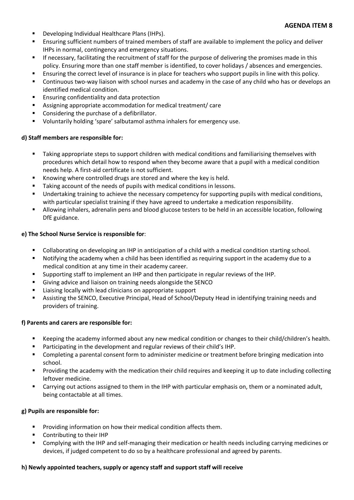- Developing Individual Healthcare Plans (IHPs).
- Ensuring sufficient numbers of trained members of staff are available to implement the policy and deliver IHPs in normal, contingency and emergency situations.
- **If necessary, facilitating the recruitment of staff for the purpose of delivering the promises made in this** policy. Ensuring more than one staff member is identified, to cover holidays / absences and emergencies.
- Ensuring the correct level of insurance is in place for teachers who support pupils in line with this policy.
- Continuous two-way liaison with school nurses and academy in the case of any child who has or develops an identified medical condition.
- **Ensuring confidentiality and data protection**
- Assigning appropriate accommodation for medical treatment/ care
- Considering the purchase of a defibrillator.
- Voluntarily holding 'spare' salbutamol asthma inhalers for emergency use.

#### **d) Staff members are responsible for:**

- **Taking appropriate steps to support children with medical conditions and familiarising themselves with** procedures which detail how to respond when they become aware that a pupil with a medical condition needs help. A first-aid certificate is not sufficient.
- Knowing where controlled drugs are stored and where the key is held.
- Taking account of the needs of pupils with medical conditions in lessons.
- Undertaking training to achieve the necessary competency for supporting pupils with medical conditions, with particular specialist training if they have agreed to undertake a medication responsibility.
- Allowing inhalers, adrenalin pens and blood glucose testers to be held in an accessible location, following DfE guidance.

#### **e) The School Nurse Service is responsible for**:

- Collaborating on developing an IHP in anticipation of a child with a medical condition starting school.
- Notifying the academy when a child has been identified as requiring support in the academy due to a medical condition at any time in their academy career.
- Supporting staff to implement an IHP and then participate in regular reviews of the IHP.
- Giving advice and liaison on training needs alongside the SENCO
- Liaising locally with lead clinicians on appropriate support
- Assisting the SENCO, Executive Principal, Head of School/Deputy Head in identifying training needs and providers of training.

#### **f) Parents and carers are responsible for:**

- Keeping the academy informed about any new medical condition or changes to their child/children's health.
- Participating in the development and regular reviews of their child's IHP.
- Completing a parental consent form to administer medicine or treatment before bringing medication into school.
- Providing the academy with the medication their child requires and keeping it up to date including collecting leftover medicine.
- Carrying out actions assigned to them in the IHP with particular emphasis on, them or a nominated adult, being contactable at all times.

#### **g) Pupils are responsible for:**

- **Providing information on how their medical condition affects them.**
- Contributing to their IHP
- Complying with the IHP and self-managing their medication or health needs including carrying medicines or devices, if judged competent to do so by a healthcare professional and agreed by parents.

#### **h) Newly appointed teachers, supply or agency staff and support staff will receive**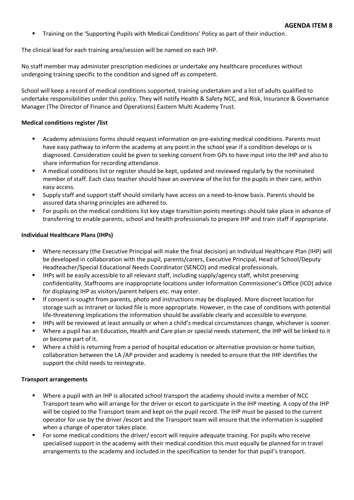**Training on the 'Supporting Pupils with Medical Conditions' Policy as part of their induction.** 

The clinical lead for each training area/session will be named on each IHP.

No staff member may administer prescription medicines or undertake any healthcare procedures without undergoing training specific to the condition and signed off as competent.

School will keep a record of medical conditions supported, training undertaken and a list of adults qualified to undertake responsibilities under this policy. They will notify Health & Safety NCC, and Risk, Insurance & Governance Manager (The Director of Finance and Operations) Eastern Multi Academy Trust.

#### **Medical conditions register /list**

- Academy admissions forms should request information on pre-existing medical conditions. Parents must have easy pathway to inform the academy at any point in the school year if a condition develops or is diagnosed. Consideration could be given to seeking consent from GPs to have input into the IHP and also to share information for recording attendance.
- A medical conditions list or register should be kept, updated and reviewed regularly by the nominated member of staff. Each class teacher should have an overview of the list for the pupils in their care, within easy access.
- Supply staff and support staff should similarly have access on a need-to-know basis. Parents should be assured data sharing principles are adhered to.
- For pupils on the medical conditions list key stage transition points meetings should take place in advance of transferring to enable parents, school and health professionals to prepare IHP and train staff if appropriate.

#### **Individual Healthcare Plans (IHPs)**

- Where necessary (the Executive Principal will make the final decision) an Individual Healthcare Plan (IHP) will be developed in collaboration with the pupil, parents/carers, Executive Principal, Head of School/Deputy Headteacher/Special Educational Needs Coordinator (SENCO) and medical professionals.
- IHPs will be easily accessible to all relevant staff, including supply/agency staff, whilst preserving confidentiality. Staffrooms are inappropriate locations under Information Commissioner's Office (ICO) advice for displaying IHP as visitors/parent helpers etc. may enter.
- If consent is sought from parents, photo and instructions may be displayed. More discreet location for storage such as Intranet or locked file is more appropriate. However, in the case of conditions with potential life-threatening implications the information should be available clearly and accessible to everyone.
- IHPs will be reviewed at least annually or when a child's medical circumstances change, whichever is sooner.
- Where a pupil has an Education, Health and Care plan or special needs statement, the IHP will be linked to it or become part of it.
- Where a child is returning from a period of hospital education or alternative provision or home tuition, collaboration between the LA /AP provider and academy is needed to ensure that the IHP identifies the support the child needs to reintegrate.

#### **Transport arrangements**

- Where a pupil with an IHP is allocated school transport the academy should invite a member of NCC Transport team who will arrange for the driver or escort to participate in the IHP meeting. A copy of the IHP will be copied to the Transport team and kept on the pupil record. The IHP must be passed to the current operator for use by the driver /escort and the Transport team will ensure that the information is supplied when a change of operator takes place.
- For some medical conditions the driver/ escort will require adequate training. For pupils who receive specialised support in the academy with their medical condition this must equally be planned for in travel arrangements to the academy and included in the specification to tender for that pupil's transport.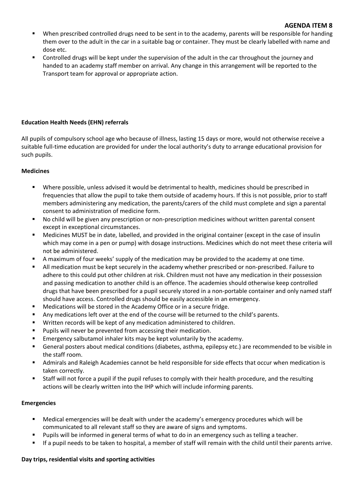#### **AGENDA ITEM 8**

- When prescribed controlled drugs need to be sent in to the academy, parents will be responsible for handing them over to the adult in the car in a suitable bag or container. They must be clearly labelled with name and dose etc.
- Controlled drugs will be kept under the supervision of the adult in the car throughout the journey and handed to an academy staff member on arrival. Any change in this arrangement will be reported to the Transport team for approval or appropriate action.

# **Education Health Needs (EHN) referrals**

All pupils of compulsory school age who because of illness, lasting 15 days or more, would not otherwise receive a suitable full-time education are provided for under the local authority's duty to arrange educational provision for such pupils.

# **Medicines**

- Where possible, unless advised it would be detrimental to health, medicines should be prescribed in frequencies that allow the pupil to take them outside of academy hours. If this is not possible, prior to staff members administering any medication, the parents/carers of the child must complete and sign a parental consent to administration of medicine form.
- No child will be given any prescription or non-prescription medicines without written parental consent except in exceptional circumstances.
- Medicines MUST be in date, labelled, and provided in the original container (except in the case of insulin which may come in a pen or pump) with dosage instructions. Medicines which do not meet these criteria will not be administered.
- A maximum of four weeks' supply of the medication may be provided to the academy at one time.
- All medication must be kept securely in the academy whether prescribed or non-prescribed. Failure to adhere to this could put other children at risk. Children must not have any medication in their possession and passing medication to another child is an offence. The academies should otherwise keep controlled drugs that have been prescribed for a pupil securely stored in a non-portable container and only named staff should have access. Controlled drugs should be easily accessible in an emergency.
- Medications will be stored in the Academy Office or in a secure fridge.
- Any medications left over at the end of the course will be returned to the child's parents.
- Written records will be kept of any medication administered to children.
- **Pupils will never be prevented from accessing their medication.**
- **Emergency salbutamol inhaler kits may be kept voluntarily by the academy.**
- General posters about medical conditions (diabetes, asthma, epilepsy etc.) are recommended to be visible in the staff room.
- Admirals and Raleigh Academies cannot be held responsible for side effects that occur when medication is taken correctly.
- Staff will not force a pupil if the pupil refuses to comply with their health procedure, and the resulting actions will be clearly written into the IHP which will include informing parents.

#### **Emergencies**

- Medical emergencies will be dealt with under the academy's emergency procedures which will be communicated to all relevant staff so they are aware of signs and symptoms.
- Pupils will be informed in general terms of what to do in an emergency such as telling a teacher.
- If a pupil needs to be taken to hospital, a member of staff will remain with the child until their parents arrive.

# **Day trips, residential visits and sporting activities**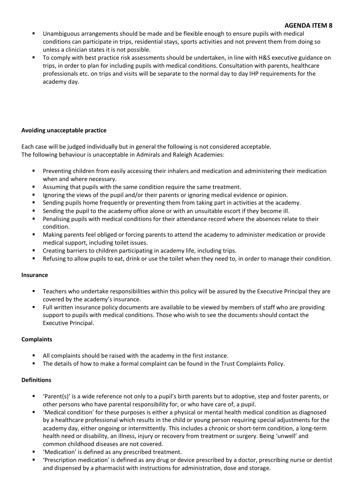- Unambiguous arrangements should be made and be flexible enough to ensure pupils with medical conditions can participate in trips, residential stays, sports activities and not prevent them from doing so unless a clinician states it is not possible.
- To comply with best practice risk assessments should be undertaken, in line with H&S executive guidance on trips, in order to plan for including pupils with medical conditions. Consultation with parents, healthcare professionals etc. on trips and visits will be separate to the normal day to day IHP requirements for the academy day.

# **Avoiding unacceptable practice**

Each case will be judged individually but in general the following is not considered acceptable. The following behaviour is unacceptable in Admirals and Raleigh Academies:

- Preventing children from easily accessing their inhalers and medication and administering their medication when and where necessary.
- Assuming that pupils with the same condition require the same treatment.
- **Ignoring the views of the pupil and/or their parents or ignoring medical evidence or opinion.**
- Sending pupils home frequently or preventing them from taking part in activities at the academy.
- **Sending the pupil to the academy office alone or with an unsuitable escort if they become ill.**
- Penalising pupils with medical conditions for their attendance record where the absences relate to their condition.
- Making parents feel obliged or forcing parents to attend the academy to administer medication or provide medical support, including toilet issues.
- Creating barriers to children participating in academy life, including trips.
- Refusing to allow pupils to eat, drink or use the toilet when they need to, in order to manage their condition.

# **Insurance**

- Teachers who undertake responsibilities within this policy will be assured by the Executive Principal they are covered by the academy's insurance.
- **Full written insurance policy documents are available to be viewed by members of staff who are providing** support to pupils with medical conditions. Those who wish to see the documents should contact the Executive Principal.

# **Complaints**

- All complaints should be raised with the academy in the first instance.
- The details of how to make a formal complaint can be found in the Trust Complaints Policy.

# **Definitions**

- 'Parent(s)' is a wide reference not only to a pupil's birth parents but to adoptive, step and foster parents, or other persons who have parental responsibility for, or who have care of, a pupil.
- 'Medical condition' for these purposes is either a physical or mental health medical condition as diagnosed by a healthcare professional which results in the child or young person requiring special adjustments for the academy day, either ongoing or intermittently. This includes a chronic or short-term condition, a long-term health need or disability, an illness, injury or recovery from treatment or surgery. Being 'unwell' and common childhood diseases are not covered.
- 'Medication' is defined as any prescribed treatment.
- 'Prescription medication' is defined as any drug or device prescribed by a doctor, prescribing nurse or dentist and dispensed by a pharmacist with instructions for administration, dose and storage.